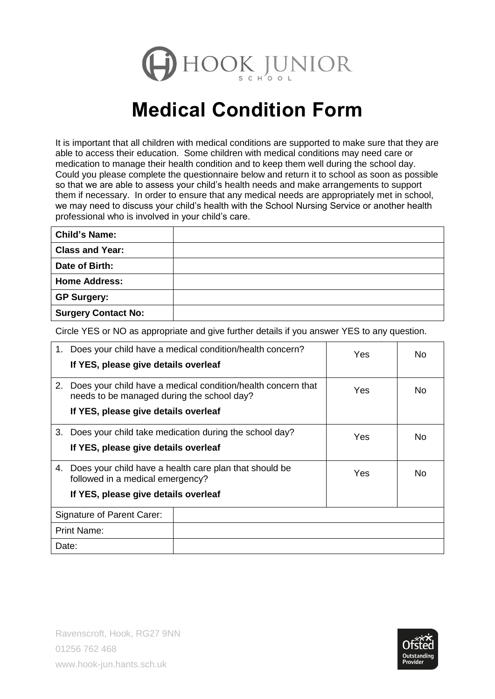

## **Medical Condition Form**

It is important that all children with medical conditions are supported to make sure that they are able to access their education. Some children with medical conditions may need care or medication to manage their health condition and to keep them well during the school day. Could you please complete the questionnaire below and return it to school as soon as possible so that we are able to assess your child's health needs and make arrangements to support them if necessary. In order to ensure that any medical needs are appropriately met in school, we may need to discuss your child's health with the School Nursing Service or another health professional who is involved in your child's care.

| <b>Child's Name:</b>       |  |
|----------------------------|--|
| <b>Class and Year:</b>     |  |
| Date of Birth:             |  |
| <b>Home Address:</b>       |  |
| <b>GP Surgery:</b>         |  |
| <b>Surgery Contact No:</b> |  |

Circle YES or NO as appropriate and give further details if you answer YES to any question.

| 1.                                   | Does your child have a medical condition/health concern?<br>If YES, please give details overleaf           | Yes                                                    | No  |    |
|--------------------------------------|------------------------------------------------------------------------------------------------------------|--------------------------------------------------------|-----|----|
| 2.                                   | Does your child have a medical condition/health concern that<br>needs to be managed during the school day? | Yes                                                    | No  |    |
|                                      | If YES, please give details overleaf                                                                       |                                                        |     |    |
| 3.                                   |                                                                                                            | Does your child take medication during the school day? | Yes | No |
| If YES, please give details overleaf |                                                                                                            |                                                        |     |    |
| 4.                                   | Does your child have a health care plan that should be<br>followed in a medical emergency?                 |                                                        | Yes | No |
|                                      | If YES, please give details overleaf                                                                       |                                                        |     |    |
| Signature of Parent Carer:           |                                                                                                            |                                                        |     |    |
| <b>Print Name:</b>                   |                                                                                                            |                                                        |     |    |
| Date:                                |                                                                                                            |                                                        |     |    |